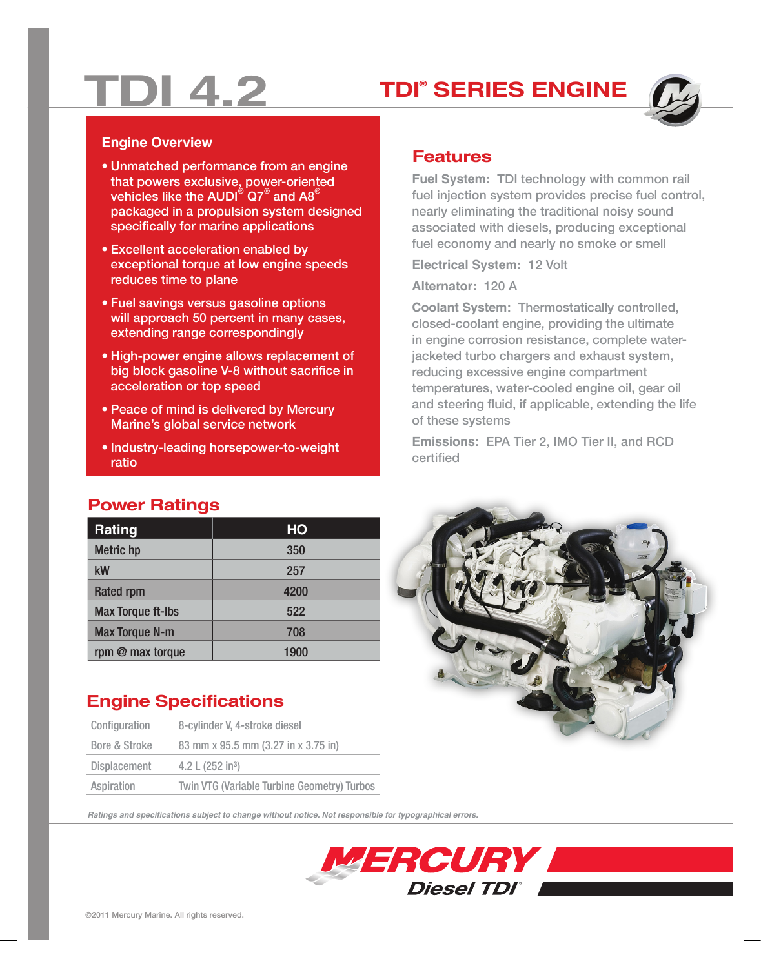# **TDI 4.2 TDI®**

## **TDI® SERIES ENGINE**



#### **Engine Overview**

- Unmatched performance from an engine that powers exclusive, power-oriented vehicles like the AUDI®  $\mathsf{Q7}^{\circledast}$  and A8 $^{\circledast}$ packaged in a propulsion system designed specifically for marine applications
- Excellent acceleration enabled by exceptional torque at low engine speeds reduces time to plane
- Fuel savings versus gasoline options will approach 50 percent in many cases, extending range correspondingly
- **Power Superings Stock Superings 6** • High-power engine allows replacement of big block gasoline V-8 without sacrifice in
	- Peace of mind is delivered by Mercury Marine's global service network
	- Industry-leading horsepower-to-weight ratio

### **Features**

**Fuel System:** TDI technology with common rail fuel injection system provides precise fuel control, nearly eliminating the traditional noisy sound associated with diesels, producing exceptional fuel economy and nearly no smoke or smell

**Electrical System:** 12 Volt

**Alternator:** 120 A

**Coolant System:** Thermostatically controlled, closed-coolant engine, providing the ultimate in engine corrosion resistance, complete waterjacketed turbo chargers and exhaust system, reducing excessive engine compartment temperatures, water-cooled engine oil, gear oil and steering fluid, if applicable, extending the life of these systems

**Emissions:** EPA Tier 2, IMO Tier II, and RCD certified

#### **Power Ratings**

| <b>Rating</b>            | HO   |
|--------------------------|------|
| <b>Metric hp</b>         | 350  |
| kW                       | 257  |
| <b>Rated rpm</b>         | 4200 |
| <b>Max Torque ft-Ibs</b> | 522  |
| <b>Max Torque N-m</b>    | 708  |
| rpm @ max torque         | 1900 |

## **Engine Specifications**

| Configuration | 8-cylinder V, 4-stroke diesel                      |
|---------------|----------------------------------------------------|
| Bore & Stroke | 83 mm x 95.5 mm (3.27 in x 3.75 in)                |
| Displacement  | 4.2 L $(252 \text{ in}^3)$                         |
| Aspiration    | <b>Twin VTG (Variable Turbine Geometry) Turbos</b> |